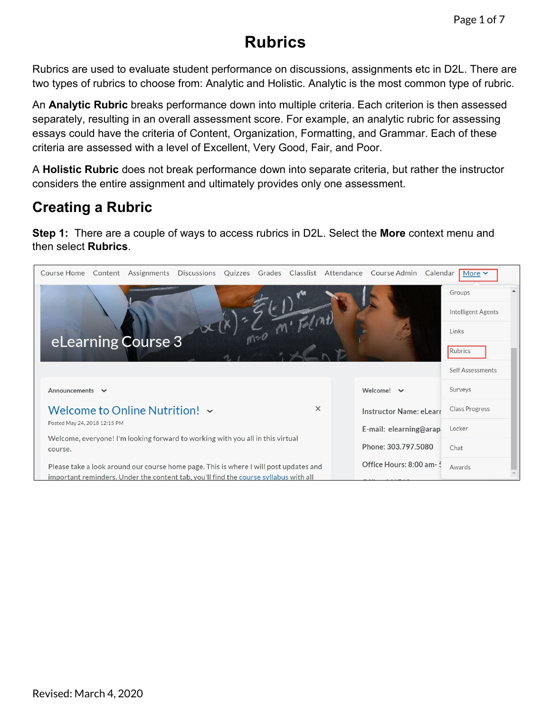## **Rubrics**

Rubrics are used to evaluate student performance on discussions, assignments etc in D2L. There are two types of rubrics to choose from: Analytic and Holistic. Analytic is the most common type of rubric.

An **Analytic Rubric** breaks performance down into multiple criteria. Each criterion is then assessed separately, resulting in an overall assessment score. For example, an analytic rubric for assessing essays could have the criteria of Content, Organization, Formatting, and Grammar. Each of these criteria are assessed with a level of Excellent, Very Good, Fair, and Poor.

A **Holistic Rubric** does not break performance down into separate criteria, but rather the instructor considers the entire assignment and ultimately provides only one assessment.

## **Creating a Rubric**

**Step 1:** There are a couple of ways to access rubrics in D2L. Select the **More** context menu and then select **Rubrics**.

| Content Assignments Discussions Quizzes Grades Classlist Attendance Course Admin Calendar<br><b>Course Home</b>                                                               |                          | More $\sim$           |
|-------------------------------------------------------------------------------------------------------------------------------------------------------------------------------|--------------------------|-----------------------|
| <b>HANGING COMPANY OF THE REAL OF SHOW</b>                                                                                                                                    |                          | Groups                |
|                                                                                                                                                                               |                          | Intelligent Agents    |
|                                                                                                                                                                               |                          | Links                 |
| eLearning Course 3                                                                                                                                                            |                          | Rubrics               |
|                                                                                                                                                                               |                          | Self Assessments      |
| Announcements v                                                                                                                                                               | Welcome! $\vee$          | Surveys               |
| Welcome to Online Nutrition! v<br>$\times$                                                                                                                                    | Instructor Name: eLearr  | <b>Class Progress</b> |
| Posted May 24, 2018 12:15 PM                                                                                                                                                  | E-mail: elearning@arap.  | Locker                |
| Welcome, everyone! I'm looking forward to working with you all in this virtual<br>course.                                                                                     | Phone: 303.797.5080      | Chat                  |
| Please take a look around our course home page. This is where I will post updates and<br>important reminders. Under the content tab, you'll find the course syllabus with all | Office Hours: 8:00 am- 5 | Awards                |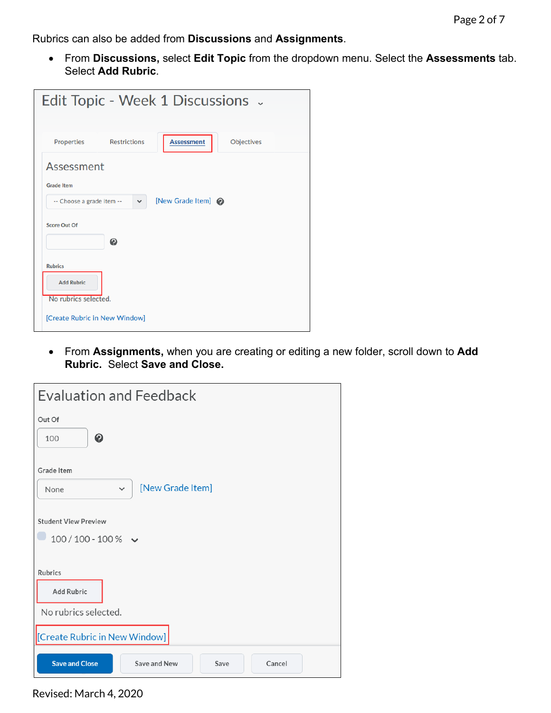Rubrics can also be added from **Discussions** and **Assignments**.

• From **Discussions,** select **Edit Topic** from the dropdown menu. Select the **Assessments** tab. Select **Add Rubric**.

| Edit Topic - Week 1 Discussions $\sim$                               |  |
|----------------------------------------------------------------------|--|
|                                                                      |  |
| <b>Restrictions</b><br>Objectives<br>Properties<br><b>Assessment</b> |  |
| Assessment<br><b>Grade Item</b>                                      |  |
| [New Grade Item] @<br>-- Choose a grade item --<br>$\checkmark$      |  |
| Score Out Of                                                         |  |
| ℯ                                                                    |  |
| <b>Rubrics</b>                                                       |  |
| <b>Add Rubric</b><br>No rubrics selected.                            |  |
| [Create Rubric in New Window]                                        |  |

• From **Assignments,** when you are creating or editing a new folder, scroll down to **Add Rubric.** Select **Save and Close.**

| <b>Evaluation and Feedback</b>                          |  |  |  |  |  |  |  |
|---------------------------------------------------------|--|--|--|--|--|--|--|
| Out Of                                                  |  |  |  |  |  |  |  |
| ❷<br>100                                                |  |  |  |  |  |  |  |
| Grade Item                                              |  |  |  |  |  |  |  |
| [New Grade Item]<br>$\checkmark$<br>None                |  |  |  |  |  |  |  |
| <b>Student View Preview</b>                             |  |  |  |  |  |  |  |
| $100/100 - 100 %$                                       |  |  |  |  |  |  |  |
| Rubrics                                                 |  |  |  |  |  |  |  |
| <b>Add Rubric</b>                                       |  |  |  |  |  |  |  |
| No rubrics selected.                                    |  |  |  |  |  |  |  |
| [Create Rubric in New Window]                           |  |  |  |  |  |  |  |
| <b>Save and Close</b><br>Save and New<br>Save<br>Cancel |  |  |  |  |  |  |  |

Revised: March 4, 2020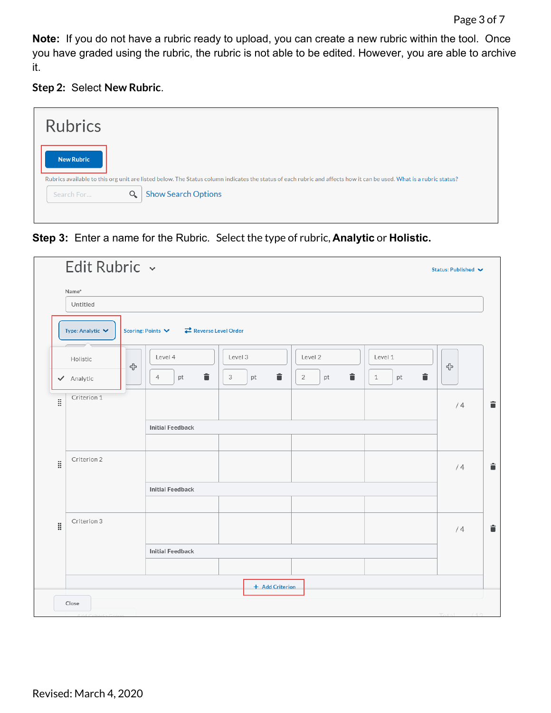**Note:** If you do not have a rubric ready to upload, you can create a new rubric within the tool. Once you have graded using the rubric, the rubric is not able to be edited. However, you are able to archive it.

## **Step 2:** Select **New Rubric**.

| <b>Rubrics</b>                                                                                                                                                                          |
|-----------------------------------------------------------------------------------------------------------------------------------------------------------------------------------------|
| <b>New Rubric</b><br>Rubrics available to this orgunit are listed below. The Status column indicates the status of each rubric and affects how it can be used. What is a rubric status? |
| <b>Show Search Options</b><br>Q<br>Search For                                                                                                                                           |

**Step 3:** Enter a name for the Rubric. Select the type of rubric, **Analytic** or **Holistic.**

|     | Name*                                |   |                                                              |              |                           |                         |    |
|-----|--------------------------------------|---|--------------------------------------------------------------|--------------|---------------------------|-------------------------|----|
|     | Untitled                             |   |                                                              |              |                           |                         |    |
|     | Type: Analytic $\blacktriangleright$ |   | Reverse Level Order<br>Scoring: Points $\blacktriangleright$ |              |                           |                         |    |
|     | Holistic                             | ♧ | Level 4                                                      | Level 3      | Level 2                   | Level 1                 | ⊕  |
|     | ✔ Analytic                           |   | û<br>$\overline{4}$<br>pt                                    | û<br>3<br>pt | û<br>$\overline{2}$<br>pt | û<br>$\mathbf{1}$<br>pt |    |
| ă.  | Criterion 1                          |   |                                                              |              |                           |                         | /4 |
|     |                                      |   | <b>Initial Feedback</b>                                      |              |                           |                         |    |
|     |                                      |   |                                                              |              |                           |                         |    |
| ij. | Criterion 2                          |   |                                                              |              |                           |                         | /4 |
|     |                                      |   | <b>Initial Feedback</b>                                      |              |                           |                         |    |
|     |                                      |   |                                                              |              |                           |                         |    |
| ă.  | Criterion 3                          |   |                                                              |              |                           |                         | /4 |
|     |                                      |   | <b>Initial Feedback</b>                                      |              |                           |                         |    |
|     |                                      |   |                                                              |              |                           |                         |    |
|     |                                      |   |                                                              |              |                           |                         |    |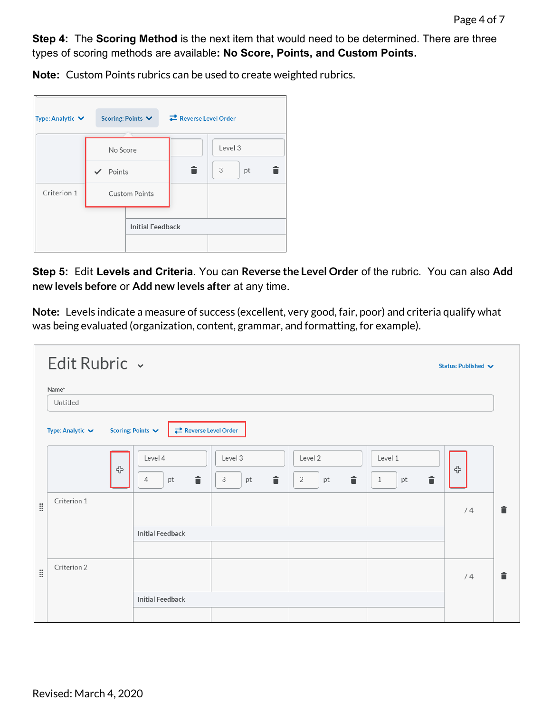**Step 4:** The **Scoring Method** is the next item that would need to be determined. There are three types of scoring methods are available**: No Score, Points, and Custom Points.**

**Note:** Custom Points rubrics can be used to create weighted rubrics.

| Type: Analytic $\vee$              |  | Scoring: Points $\blacktriangleright$ |  | Reverse Level Order |         |
|------------------------------------|--|---------------------------------------|--|---------------------|---------|
|                                    |  |                                       |  |                     |         |
| No Score<br>Points<br>$\checkmark$ |  |                                       |  |                     | Level 3 |
|                                    |  |                                       |  | â                   | 3<br>pt |
| Criterion 1                        |  | <b>Custom Points</b>                  |  |                     |         |
|                                    |  | <b>Initial Feedback</b>               |  |                     |         |
|                                    |  |                                       |  |                     |         |

**Step 5:** Edit **Levels and Criteria**. You can **Reverse the Level Order** of the rubric. You can also **Add new levels before** or **Add new levels after** at any time.

**Note:** Levels indicate a measure of success (excellent, very good, fair, poor) and criteria qualify what was being evaluated (organization, content, grammar, and formatting, for example).

|            | Edit Rubric ~<br>Status: Published V |                                                              |                         |                                      |                         |    |   |  |
|------------|--------------------------------------|--------------------------------------------------------------|-------------------------|--------------------------------------|-------------------------|----|---|--|
|            | Name*                                |                                                              |                         |                                      |                         |    |   |  |
|            | Untitled                             |                                                              |                         |                                      |                         |    |   |  |
|            | Type: Analytic $\blacktriangleright$ | Reverse Level Order<br>Scoring: Points $\blacktriangleright$ |                         |                                      |                         |    |   |  |
|            | ⊕                                    | Level 4<br>î<br>4<br>pt                                      | Level 3<br>î<br>3<br>pt | Level 2<br>î<br>$\overline{2}$<br>pt | Level 1<br>î<br>1<br>pt | ╬  |   |  |
| <b>III</b> | Criterion 1                          |                                                              |                         |                                      |                         | /4 | î |  |
|            |                                      | <b>Initial Feedback</b>                                      |                         |                                      |                         |    |   |  |
|            |                                      |                                                              |                         |                                      |                         |    |   |  |
| <b>III</b> | Criterion 2                          |                                                              |                         |                                      |                         | /4 | â |  |
|            |                                      | <b>Initial Feedback</b>                                      |                         |                                      |                         |    |   |  |
|            |                                      |                                                              |                         |                                      |                         |    |   |  |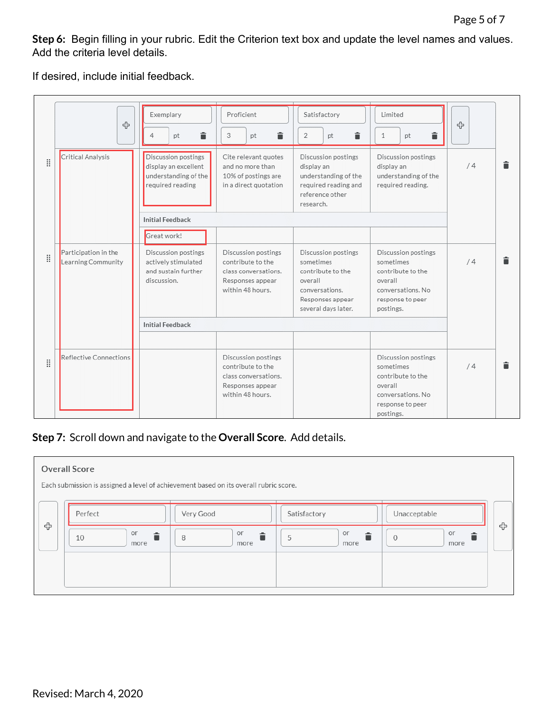**Step 6:** Begin filling in your rubric. Edit the Criterion text box and update the level names and values. Add the criteria level details.

If desired, include initial feedback.

|   | 4                                          | Exemplary<br>â<br>$\overline{4}$<br>pt                                                  | Proficient<br>â<br>3<br>pt                                                                               | Satisfactory<br>言<br>$\overline{2}$<br>pt                                                                                     | Limited<br>貪<br>1<br>pt                                                                                                | 유       |
|---|--------------------------------------------|-----------------------------------------------------------------------------------------|----------------------------------------------------------------------------------------------------------|-------------------------------------------------------------------------------------------------------------------------------|------------------------------------------------------------------------------------------------------------------------|---------|
| Ħ | Critical Analysis                          | Discussion postings<br>display an excellent<br>understanding of the<br>required reading | Cite relevant quotes<br>and no more than<br>10% of postings are<br>in a direct quotation                 | Discussion postings<br>display an<br>understanding of the<br>required reading and<br>reference other<br>research.             | Discussion postings<br>display an<br>understanding of the<br>required reading.                                         | â<br>/4 |
|   |                                            | <b>Initial Feedback</b>                                                                 |                                                                                                          |                                                                                                                               |                                                                                                                        |         |
|   |                                            | Great work!                                                                             |                                                                                                          |                                                                                                                               |                                                                                                                        |         |
| Ħ | Participation in the<br>Learning Community | Discussion postings<br>actively stimulated<br>and sustain further<br>discussion.        | Discussion postings<br>contribute to the<br>class conversations.<br>Responses appear<br>within 48 hours. | Discussion postings<br>sometimes<br>contribute to the<br>overall<br>conversations.<br>Responses appear<br>several days later. | Discussion postings<br>sometimes<br>contribute to the<br>overall<br>conversations. No<br>response to peer<br>postings. | î<br>/4 |
|   |                                            | <b>Initial Feedback</b>                                                                 |                                                                                                          |                                                                                                                               |                                                                                                                        |         |
|   |                                            |                                                                                         |                                                                                                          |                                                                                                                               |                                                                                                                        |         |
| H | Reflective Connections                     |                                                                                         | Discussion postings<br>contribute to the<br>class conversations.<br>Responses appear<br>within 48 hours. |                                                                                                                               | Discussion postings<br>sometimes<br>contribute to the<br>overall<br>conversations. No<br>response to peer<br>postings. | â<br>/4 |

## **Step 7:** Scroll down and navigate to the **Overall Score**. Add details.

| <b>Overall Score</b><br>Each submission is assigned a level of achievement based on its overall rubric score. |                      |                      |                        |   |  |  |  |  |
|---------------------------------------------------------------------------------------------------------------|----------------------|----------------------|------------------------|---|--|--|--|--|
| Perfect                                                                                                       | Very Good            | Satisfactory         | Unacceptable           |   |  |  |  |  |
| or<br>10<br>more                                                                                              | or<br>≐<br>8<br>more | or<br>≐<br>5<br>more | or<br>$\Omega$<br>more | ╬ |  |  |  |  |
|                                                                                                               |                      |                      |                        |   |  |  |  |  |
|                                                                                                               |                      |                      |                        |   |  |  |  |  |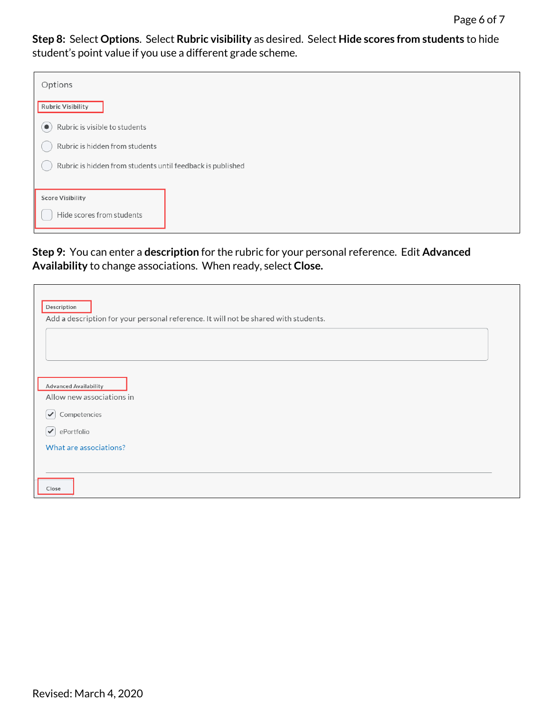**Step 8:** Select **Options**. Select **Rubric visibility** as desired. Select **Hide scores from students** to hide student's point value if you use a different grade scheme.

| Options                                                    |
|------------------------------------------------------------|
| <b>Rubric Visibility</b>                                   |
| Rubric is visible to students<br>$\bullet$                 |
| Rubric is hidden from students                             |
| Rubric is hidden from students until feedback is published |
|                                                            |
| <b>Score Visibility</b>                                    |
| Hide scores from students                                  |

**Step 9:** You can enter a **description** for the rubric for your personal reference. Edit **Advanced Availability** to change associations. When ready, select **Close.**

| Description<br>Add a description for your personal reference. It will not be shared with students.     |  |
|--------------------------------------------------------------------------------------------------------|--|
|                                                                                                        |  |
| <b>Advanced Availability</b><br>Allow new associations in                                              |  |
| Competencies<br>$\blacktriangledown$<br>ePortfolio<br>$ \blacktriangledown $<br>What are associations? |  |
| Close                                                                                                  |  |